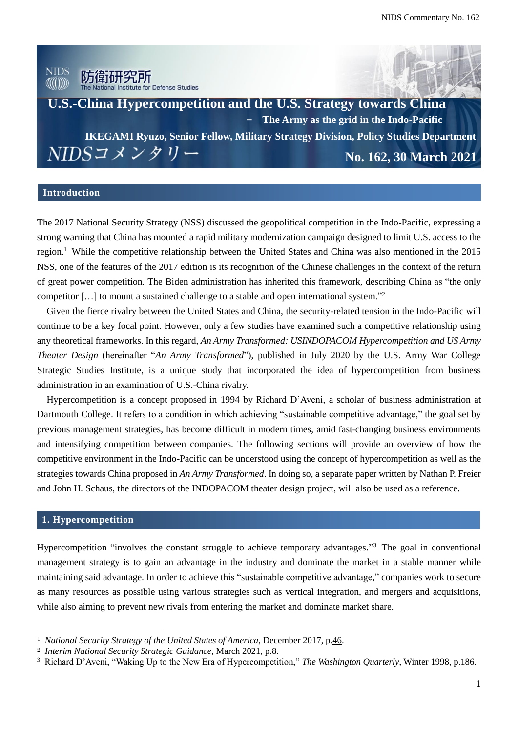

**U.S.-China Hypercompetition and the U.S. Strategy towards China**  - **The Army as the grid in the Indo-PacificIKEGAMI Ryuzo, Senior Fellow, Military Strategy Division, Policy Studies Department** NIDSコメンタリー **No. 162, 30 March 2021**

#### **Introduction**

The 2017 National Security Strategy (NSS) discussed the geopolitical competition in the Indo-Pacific, expressing a strong warning that China has mounted a rapid military modernization campaign designed to limit U.S. access to the region.<sup>1</sup> While the competitive relationship between the United States and China was also mentioned in the 2015 NSS, one of the features of the 2017 edition is its recognition of the Chinese challenges in the context of the return of great power competition. The Biden administration has inherited this framework, describing China as "the only competitor […] to mount a sustained challenge to a stable and open international system."<sup>2</sup>

Given the fierce rivalry between the United States and China, the security-related tension in the Indo-Pacific will continue to be a key focal point. However, only a few studies have examined such a competitive relationship using any theoretical frameworks. In this regard, *An Army Transformed: USINDOPACOM Hypercompetition and US Army Theater Design* (hereinafter "*An Army Transformed*"), published in July 2020 by the U.S. Army War College Strategic Studies Institute, is a unique study that incorporated the idea of hypercompetition from business administration in an examination of U.S.-China rivalry.

Hypercompetition is a concept proposed in 1994 by Richard D'Aveni, a scholar of business administration at Dartmouth College. It refers to a condition in which achieving "sustainable competitive advantage," the goal set by previous management strategies, has become difficult in modern times, amid fast-changing business environments and intensifying competition between companies. The following sections will provide an overview of how the competitive environment in the Indo-Pacific can be understood using the concept of hypercompetition as well as the strategies towards China proposed in *An Army Transformed*. In doing so, a separate paper written by Nathan P. Freier and John H. Schaus, the directors of the INDOPACOM theater design project, will also be used as a reference.

### **1. Hypercompetition**

 $\overline{a}$ 

Hypercompetition "involves the constant struggle to achieve temporary advantages."<sup>3</sup> The goal in conventional management strategy is to gain an advantage in the industry and dominate the market in a stable manner while maintaining said advantage. In order to achieve this "sustainable competitive advantage," companies work to secure as many resources as possible using various strategies such as vertical integration, and mergers and acquisitions, while also aiming to prevent new rivals from entering the market and dominate market share.

<sup>1</sup> *National Security Strategy of the United States of America*, December 2017, p.46.

<sup>2</sup> *Interim National Security Strategic Guidance*, March 2021, p.8.

<sup>3</sup> Richard D'Aveni, "Waking Up to the New Era of Hypercompetition," *The Washington Quarterly*, Winter 1998, p.186.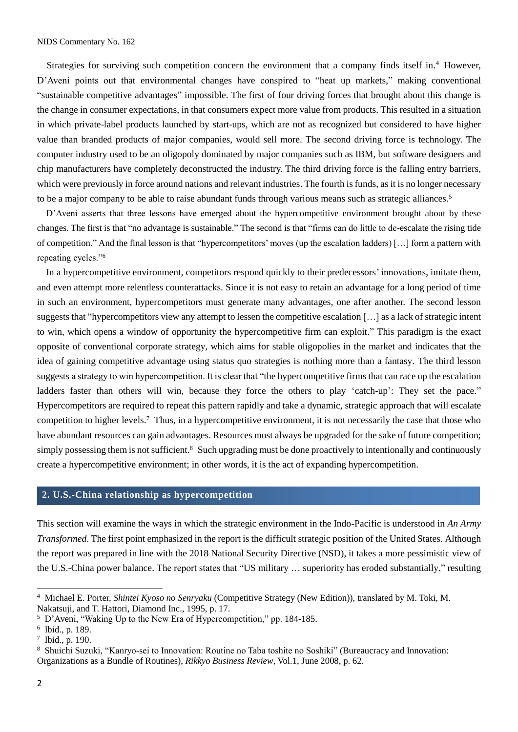Strategies for surviving such competition concern the environment that a company finds itself in.<sup>4</sup> However, D'Aveni points out that environmental changes have conspired to "heat up markets," making conventional "sustainable competitive advantages" impossible. The first of four driving forces that brought about this change is the change in consumer expectations, in that consumers expect more value from products. This resulted in a situation in which private-label products launched by start-ups, which are not as recognized but considered to have higher value than branded products of major companies, would sell more. The second driving force is technology. The computer industry used to be an oligopoly dominated by major companies such as IBM, but software designers and chip manufacturers have completely deconstructed the industry. The third driving force is the falling entry barriers, which were previously in force around nations and relevant industries. The fourth is funds, as it is no longer necessary to be a major company to be able to raise abundant funds through various means such as strategic alliances. 5

D'Aveni asserts that three lessons have emerged about the hypercompetitive environment brought about by these changes. The first is that "no advantage is sustainable." The second is that "firms can do little to de-escalate the rising tide of competition." And the final lesson is that "hypercompetitors' moves (up the escalation ladders) […] form a pattern with repeating cycles."<sup>6</sup>

In a hypercompetitive environment, competitors respond quickly to their predecessors' innovations, imitate them, and even attempt more relentless counterattacks. Since it is not easy to retain an advantage for a long period of time in such an environment, hypercompetitors must generate many advantages, one after another. The second lesson suggests that "hypercompetitors view any attempt to lessen the competitive escalation […] as a lack of strategic intent to win, which opens a window of opportunity the hypercompetitive firm can exploit." This paradigm is the exact opposite of conventional corporate strategy, which aims for stable oligopolies in the market and indicates that the idea of gaining competitive advantage using status quo strategies is nothing more than a fantasy. The third lesson suggests a strategy to win hypercompetition. It is clear that "the hypercompetitive firms that can race up the escalation ladders faster than others will win, because they force the others to play 'catch-up': They set the pace." Hypercompetitors are required to repeat this pattern rapidly and take a dynamic, strategic approach that will escalate competition to higher levels.<sup>7</sup> Thus, in a hypercompetitive environment, it is not necessarily the case that those who have abundant resources can gain advantages. Resources must always be upgraded for the sake of future competition; simply possessing them is not sufficient.<sup>8</sup> Such upgrading must be done proactively to intentionally and continuously create a hypercompetitive environment; in other words, it is the act of expanding hypercompetition.

### **2. U.S.-China relationship as hypercompetition**

This section will examine the ways in which the strategic environment in the Indo-Pacific is understood in *An Army Transformed*. The first point emphasized in the report is the difficult strategic position of the United States. Although the report was prepared in line with the 2018 National Security Directive (NSD), it takes a more pessimistic view of the U.S.-China power balance. The report states that "US military … superiority has eroded substantially," resulting

<sup>4</sup> Michael E. Porter, *Shintei Kyoso no Senryaku* (Competitive Strategy (New Edition)), translated by M. Toki, M. Nakatsuji, and T. Hattori, Diamond Inc., 1995, p. 17.

<sup>5</sup> D'Aveni, "Waking Up to the New Era of Hypercompetition," pp. 184-185.

<sup>6</sup> Ibid., p. 189.

<sup>7</sup> Ibid., p. 190.

<sup>8</sup> Shuichi Suzuki, "Kanryo-sei to Innovation: Routine no Taba toshite no Soshiki" (Bureaucracy and Innovation: Organizations as a Bundle of Routines), *Rikkyo Business Review*, Vol.1, June 2008, p. 62.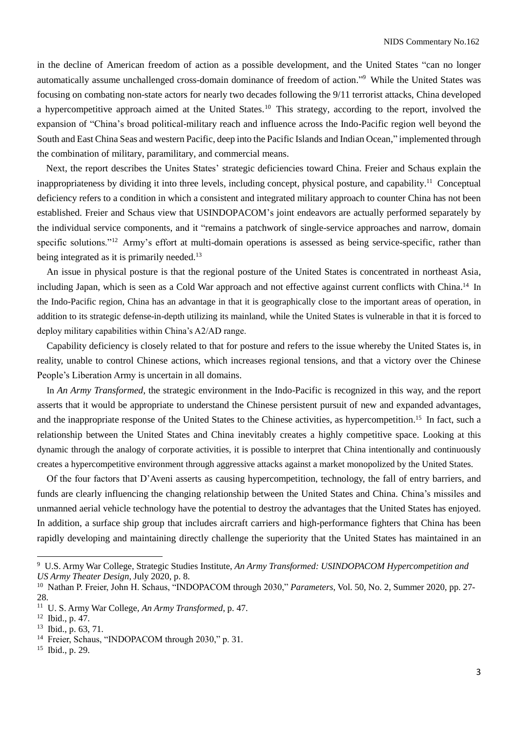in the decline of American freedom of action as a possible development, and the United States "can no longer automatically assume unchallenged cross-domain dominance of freedom of action." <sup>9</sup> While the United States was focusing on combating non-state actors for nearly two decades following the 9/11 terrorist attacks, China developed a hypercompetitive approach aimed at the United States.<sup>10</sup> This strategy, according to the report, involved the expansion of "China's broad political-military reach and influence across the Indo-Pacific region well beyond the South and East China Seas and western Pacific, deep into the Pacific Islands and Indian Ocean," implemented through the combination of military, paramilitary, and commercial means.

Next, the report describes the Unites States' strategic deficiencies toward China. Freier and Schaus explain the inappropriateness by dividing it into three levels, including concept, physical posture, and capability.<sup>11</sup> Conceptual deficiency refers to a condition in which a consistent and integrated military approach to counter China has not been established. Freier and Schaus view that USINDOPACOM's joint endeavors are actually performed separately by the individual service components, and it "remains a patchwork of single-service approaches and narrow, domain specific solutions."<sup>12</sup> Army's effort at multi-domain operations is assessed as being service-specific, rather than being integrated as it is primarily needed.<sup>13</sup>

An issue in physical posture is that the regional posture of the United States is concentrated in northeast Asia, including Japan, which is seen as a Cold War approach and not effective against current conflicts with China.<sup>14</sup> In the Indo-Pacific region, China has an advantage in that it is geographically close to the important areas of operation, in addition to its strategic defense-in-depth utilizing its mainland, while the United States is vulnerable in that it is forced to deploy military capabilities within China's A2/AD range.

Capability deficiency is closely related to that for posture and refers to the issue whereby the United States is, in reality, unable to control Chinese actions, which increases regional tensions, and that a victory over the Chinese People's Liberation Army is uncertain in all domains.

In *An Army Transformed*, the strategic environment in the Indo-Pacific is recognized in this way, and the report asserts that it would be appropriate to understand the Chinese persistent pursuit of new and expanded advantages, and the inappropriate response of the United States to the Chinese activities, as hypercompetition.<sup>15</sup> In fact, such a relationship between the United States and China inevitably creates a highly competitive space. Looking at this dynamic through the analogy of corporate activities, it is possible to interpret that China intentionally and continuously creates a hypercompetitive environment through aggressive attacks against a market monopolized by the United States.

Of the four factors that D'Aveni asserts as causing hypercompetition, technology, the fall of entry barriers, and funds are clearly influencing the changing relationship between the United States and China. China's missiles and unmanned aerial vehicle technology have the potential to destroy the advantages that the United States has enjoyed. In addition, a surface ship group that includes aircraft carriers and high-performance fighters that China has been rapidly developing and maintaining directly challenge the superiority that the United States has maintained in an

 $\overline{a}$ 

<sup>15</sup> Ibid., p. 29.

<sup>9</sup> U.S. Army War College, Strategic Studies Institute, *An Army Transformed: USINDOPACOM Hypercompetition and US Army Theater Design*, July 2020, p. 8.

<sup>10</sup> Nathan P. Freier, John H. Schaus, "INDOPACOM through 2030," *Parameters*, Vol. 50, No. 2, Summer 2020, pp. 27- 28.

<sup>11</sup> U. S. Army War College, *An Army Transformed*, p. 47.

<sup>12</sup> Ibid., p. 47.

<sup>13</sup> Ibid., p. 63, 71.

<sup>&</sup>lt;sup>14</sup> Freier, Schaus, "INDOPACOM through 2030," p. 31.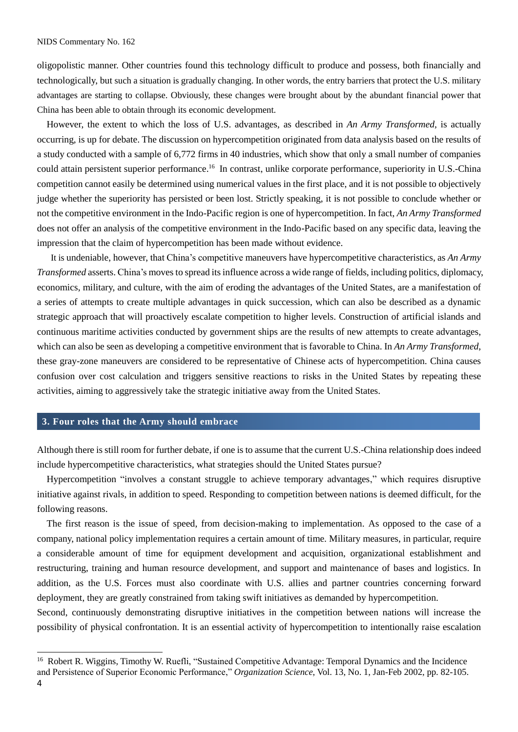oligopolistic manner. Other countries found this technology difficult to produce and possess, both financially and technologically, but such a situation is gradually changing. In other words, the entry barriers that protect the U.S. military advantages are starting to collapse. Obviously, these changes were brought about by the abundant financial power that China has been able to obtain through its economic development.

However, the extent to which the loss of U.S. advantages, as described in *An Army Transformed*, is actually occurring, is up for debate. The discussion on hypercompetition originated from data analysis based on the results of a study conducted with a sample of 6,772 firms in 40 industries, which show that only a small number of companies could attain persistent superior performance.<sup>16</sup> In contrast, unlike corporate performance, superiority in U.S.-China competition cannot easily be determined using numerical values in the first place, and it is not possible to objectively judge whether the superiority has persisted or been lost. Strictly speaking, it is not possible to conclude whether or not the competitive environment in the Indo-Pacific region is one of hypercompetition. In fact, *An Army Transformed* does not offer an analysis of the competitive environment in the Indo-Pacific based on any specific data, leaving the impression that the claim of hypercompetition has been made without evidence.

 It is undeniable, however, that China's competitive maneuvers have hypercompetitive characteristics, as *An Army Transformed* asserts. China's moves to spread its influence across a wide range of fields, including politics, diplomacy, economics, military, and culture, with the aim of eroding the advantages of the United States, are a manifestation of a series of attempts to create multiple advantages in quick succession, which can also be described as a dynamic strategic approach that will proactively escalate competition to higher levels. Construction of artificial islands and continuous maritime activities conducted by government ships are the results of new attempts to create advantages, which can also be seen as developing a competitive environment that is favorable to China. In *An Army Transformed*, these gray-zone maneuvers are considered to be representative of Chinese acts of hypercompetition. China causes confusion over cost calculation and triggers sensitive reactions to risks in the United States by repeating these activities, aiming to aggressively take the strategic initiative away from the United States.

#### **3. Four roles that the Army should embrace**

Although there is still room for further debate, if one is to assume that the current U.S.-China relationship does indeed include hypercompetitive characteristics, what strategies should the United States pursue?

Hypercompetition "involves a constant struggle to achieve temporary advantages," which requires disruptive initiative against rivals, in addition to speed. Responding to competition between nations is deemed difficult, for the following reasons.

The first reason is the issue of speed, from decision-making to implementation. As opposed to the case of a company, national policy implementation requires a certain amount of time. Military measures, in particular, require a considerable amount of time for equipment development and acquisition, organizational establishment and restructuring, training and human resource development, and support and maintenance of bases and logistics. In addition, as the U.S. Forces must also coordinate with U.S. allies and partner countries concerning forward deployment, they are greatly constrained from taking swift initiatives as demanded by hypercompetition.

Second, continuously demonstrating disruptive initiatives in the competition between nations will increase the possibility of physical confrontation. It is an essential activity of hypercompetition to intentionally raise escalation

<sup>16</sup> Robert R. Wiggins, Timothy W. Ruefli, "Sustained Competitive Advantage: Temporal Dynamics and the Incidence and Persistence of Superior Economic Performance," *Organization Science*, Vol. 13, No. 1, Jan-Feb 2002, pp. 82-105.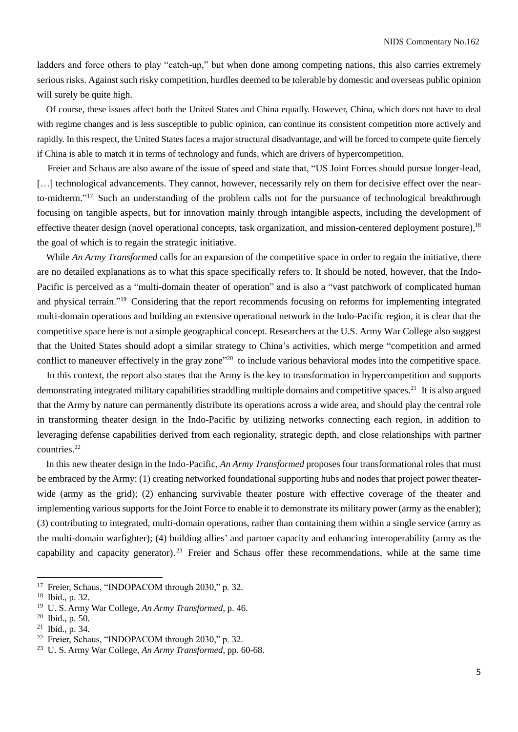ladders and force others to play "catch-up," but when done among competing nations, this also carries extremely serious risks. Against such risky competition, hurdles deemed to be tolerable by domestic and overseas public opinion will surely be quite high.

Of course, these issues affect both the United States and China equally. However, China, which does not have to deal with regime changes and is less susceptible to public opinion, can continue its consistent competition more actively and rapidly. In this respect, the United States faces a major structural disadvantage, and will be forced to compete quite fiercely if China is able to match it in terms of technology and funds, which are drivers of hypercompetition.

 Freier and Schaus are also aware of the issue of speed and state that, "US Joint Forces should pursue longer-lead, [...] technological advancements. They cannot, however, necessarily rely on them for decisive effect over the nearto-midterm."<sup>17</sup> Such an understanding of the problem calls not for the pursuance of technological breakthrough focusing on tangible aspects, but for innovation mainly through intangible aspects, including the development of effective theater design (novel operational concepts, task organization, and mission-centered deployment posture),<sup>18</sup> the goal of which is to regain the strategic initiative.

While *An Army Transformed* calls for an expansion of the competitive space in order to regain the initiative, there are no detailed explanations as to what this space specifically refers to. It should be noted, however, that the Indo-Pacific is perceived as a "multi-domain theater of operation" and is also a "vast patchwork of complicated human and physical terrain."<sup>19</sup> Considering that the report recommends focusing on reforms for implementing integrated multi-domain operations and building an extensive operational network in the Indo-Pacific region, it is clear that the competitive space here is not a simple geographical concept. Researchers at the U.S. Army War College also suggest that the United States should adopt a similar strategy to China's activities, which merge "competition and armed conflict to maneuver effectively in the gray zone<sup>"20</sup> to include various behavioral modes into the competitive space.

In this context, the report also states that the Army is the key to transformation in hypercompetition and supports demonstrating integrated military capabilities straddling multiple domains and competitive spaces.<sup>21</sup> It is also argued that the Army by nature can permanently distribute its operations across a wide area, and should play the central role in transforming theater design in the Indo-Pacific by utilizing networks connecting each region, in addition to leveraging defense capabilities derived from each regionality, strategic depth, and close relationships with partner countries.<sup>22</sup>

In this new theater design in the Indo-Pacific, *An Army Transformed* proposes four transformational roles that must be embraced by the Army: (1) creating networked foundational supporting hubs and nodes that project power theaterwide (army as the grid); (2) enhancing survivable theater posture with effective coverage of the theater and implementing various supports for the Joint Force to enable it to demonstrate its military power (army as the enabler); (3) contributing to integrated, multi-domain operations, rather than containing them within a single service (army as the multi-domain warfighter); (4) building allies' and partner capacity and enhancing interoperability (army as the capability and capacity generator). <sup>23</sup> Freier and Schaus offer these recommendations, while at the same time

<sup>&</sup>lt;sup>17</sup> Freier, Schaus, "INDOPACOM through 2030," p. 32.<br><sup>18</sup> Ibid. p. 32.

Ibid., p. 32.

<sup>19</sup> U. S. Army War College, *An Army Transformed*, p. 46.

<sup>20</sup> Ibid., p. 50.

<sup>21</sup> Ibid., p. 34.

<sup>22</sup> Freier, Schaus, "INDOPACOM through 2030," p. 32.

<sup>23</sup> U. S. Army War College, *An Army Transformed*, pp. 60-68.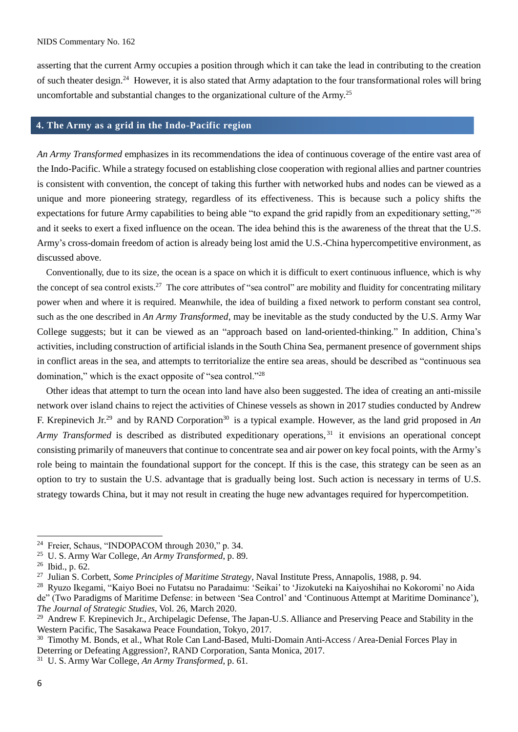asserting that the current Army occupies a position through which it can take the lead in contributing to the creation of such theater design.<sup>24</sup> However, it is also stated that Army adaptation to the four transformational roles will bring uncomfortable and substantial changes to the organizational culture of the Army.<sup>25</sup>

## **4. The Army as a grid in the Indo-Pacific region**

*An Army Transformed* emphasizes in its recommendations the idea of continuous coverage of the entire vast area of the Indo-Pacific. While a strategy focused on establishing close cooperation with regional allies and partner countries is consistent with convention, the concept of taking this further with networked hubs and nodes can be viewed as a unique and more pioneering strategy, regardless of its effectiveness. This is because such a policy shifts the expectations for future Army capabilities to being able "to expand the grid rapidly from an expeditionary setting,"<sup>26</sup> and it seeks to exert a fixed influence on the ocean. The idea behind this is the awareness of the threat that the U.S. Army's cross-domain freedom of action is already being lost amid the U.S.-China hypercompetitive environment, as discussed above.

 Conventionally, due to its size, the ocean is a space on which it is difficult to exert continuous influence, which is why the concept of sea control exists.<sup>27</sup> The core attributes of "sea control" are mobility and fluidity for concentrating military power when and where it is required. Meanwhile, the idea of building a fixed network to perform constant sea control, such as the one described in *An Army Transformed*, may be inevitable as the study conducted by the U.S. Army War College suggests; but it can be viewed as an "approach based on land-oriented-thinking." In addition, China's activities, including construction of artificial islands in the South China Sea, permanent presence of government ships in conflict areas in the sea, and attempts to territorialize the entire sea areas, should be described as "continuous sea domination," which is the exact opposite of "sea control."<sup>28</sup>

Other ideas that attempt to turn the ocean into land have also been suggested. The idea of creating an anti-missile network over island chains to reject the activities of Chinese vessels as shown in 2017 studies conducted by Andrew F. Krepinevich Jr.<sup>29</sup> and by RAND Corporation<sup>30</sup> is a typical example. However, as the land grid proposed in *An Army Transformed* is described as distributed expeditionary operations, <sup>31</sup> it envisions an operational concept consisting primarily of maneuvers that continue to concentrate sea and air power on key focal points, with the Army's role being to maintain the foundational support for the concept. If this is the case, this strategy can be seen as an option to try to sustain the U.S. advantage that is gradually being lost. Such action is necessary in terms of U.S. strategy towards China, but it may not result in creating the huge new advantages required for hypercompetition.

<sup>24</sup> Freier, Schaus, "INDOPACOM through 2030," p. 34.

<sup>25</sup> U. S. Army War College, *An Army Transformed*, p. 89.

<sup>26</sup> Ibid., p. 62.

<sup>27</sup> Julian S. Corbett, *Some Principles of Maritime Strategy*, Naval Institute Press, Annapolis, 1988, p. 94.

<sup>28</sup> Ryuzo Ikegami, "Kaiyo Boei no Futatsu no Paradaimu: 'Seikai' to 'Jizokuteki na Kaiyoshihai no Kokoromi' no Aida de" (Two Paradigms of Maritime Defense: in between 'Sea Control' and 'Continuous Attempt at Maritime Dominance'), *The Journal of Strategic Studies*, Vol. 26, March 2020.

<sup>&</sup>lt;sup>29</sup> Andrew F. Krepinevich Jr., Archipelagic Defense, The Japan-U.S. Alliance and Preserving Peace and Stability in the Western Pacific, The Sasakawa Peace Foundation, Tokyo, 2017.

<sup>&</sup>lt;sup>30</sup> Timothy M. Bonds, et al., What Role Can Land-Based, Multi-Domain Anti-Access / Area-Denial Forces Play in Deterring or Defeating Aggression?, RAND Corporation, Santa Monica, 2017.

<sup>31</sup> U. S. Army War College, *An Army Transformed*, p. 61.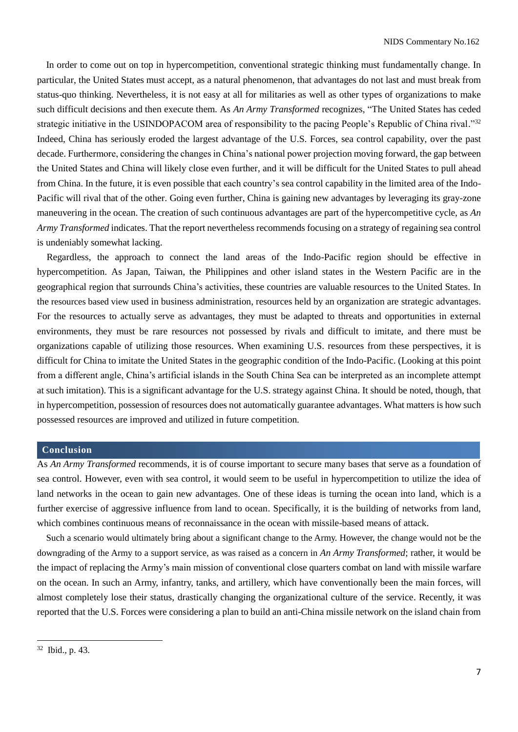In order to come out on top in hypercompetition, conventional strategic thinking must fundamentally change. In particular, the United States must accept, as a natural phenomenon, that advantages do not last and must break from status-quo thinking. Nevertheless, it is not easy at all for militaries as well as other types of organizations to make such difficult decisions and then execute them. As *An Army Transformed* recognizes, "The United States has ceded strategic initiative in the USINDOPACOM area of responsibility to the pacing People's Republic of China rival."<sup>32</sup> Indeed, China has seriously eroded the largest advantage of the U.S. Forces, sea control capability, over the past decade. Furthermore, considering the changes in China's national power projection moving forward, the gap between the United States and China will likely close even further, and it will be difficult for the United States to pull ahead from China. In the future, it is even possible that each country's sea control capability in the limited area of the Indo-Pacific will rival that of the other. Going even further, China is gaining new advantages by leveraging its gray-zone maneuvering in the ocean. The creation of such continuous advantages are part of the hypercompetitive cycle, as *An Army Transformed* indicates. That the report nevertheless recommends focusing on a strategy of regaining sea control is undeniably somewhat lacking.

Regardless, the approach to connect the land areas of the Indo-Pacific region should be effective in hypercompetition. As Japan, Taiwan, the Philippines and other island states in the Western Pacific are in the geographical region that surrounds China's activities, these countries are valuable resources to the United States. In the resources based view used in business administration, resources held by an organization are strategic advantages. For the resources to actually serve as advantages, they must be adapted to threats and opportunities in external environments, they must be rare resources not possessed by rivals and difficult to imitate, and there must be organizations capable of utilizing those resources. When examining U.S. resources from these perspectives, it is difficult for China to imitate the United States in the geographic condition of the Indo-Pacific. (Looking at this point from a different angle, China's artificial islands in the South China Sea can be interpreted as an incomplete attempt at such imitation). This is a significant advantage for the U.S. strategy against China. It should be noted, though, that in hypercompetition, possession of resources does not automatically guarantee advantages. What matters is how such possessed resources are improved and utilized in future competition.

## **Conclusion**

As *An Army Transformed* recommends, it is of course important to secure many bases that serve as a foundation of sea control. However, even with sea control, it would seem to be useful in hypercompetition to utilize the idea of land networks in the ocean to gain new advantages. One of these ideas is turning the ocean into land, which is a further exercise of aggressive influence from land to ocean. Specifically, it is the building of networks from land, which combines continuous means of reconnaissance in the ocean with missile-based means of attack.

Such a scenario would ultimately bring about a significant change to the Army. However, the change would not be the downgrading of the Army to a support service, as was raised as a concern in *An Army Transformed*; rather, it would be the impact of replacing the Army's main mission of conventional close quarters combat on land with missile warfare on the ocean. In such an Army, infantry, tanks, and artillery, which have conventionally been the main forces, will almost completely lose their status, drastically changing the organizational culture of the service. Recently, it was reported that the U.S. Forces were considering a plan to build an anti-China missile network on the island chain from

<sup>32</sup> Ibid., p. 43.